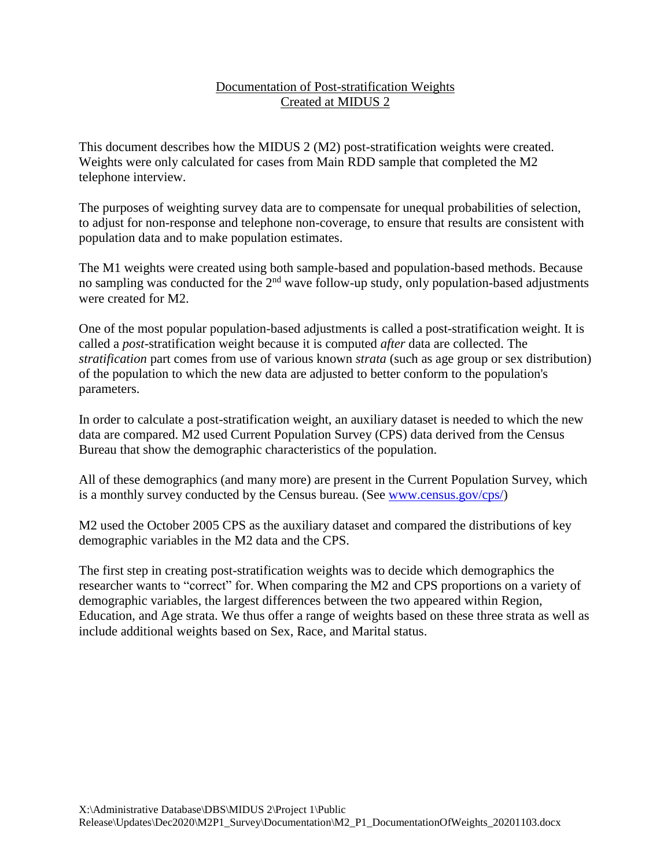## Documentation of Post-stratification Weights Created at MIDUS 2

This document describes how the MIDUS 2 (M2) post-stratification weights were created. Weights were only calculated for cases from Main RDD sample that completed the M2 telephone interview.

The purposes of weighting survey data are to compensate for unequal probabilities of selection, to adjust for non-response and telephone non-coverage, to ensure that results are consistent with population data and to make population estimates.

The M1 weights were created using both sample-based and population-based methods. Because no sampling was conducted for the 2<sup>nd</sup> wave follow-up study, only population-based adjustments were created for M2.

One of the most popular population-based adjustments is called a post-stratification weight. It is called a *post*-stratification weight because it is computed *after* data are collected. The *stratification* part comes from use of various known *strata* (such as age group or sex distribution) of the population to which the new data are adjusted to better conform to the population's parameters.

In order to calculate a post-stratification weight, an auxiliary dataset is needed to which the new data are compared. M2 used Current Population Survey (CPS) data derived from the Census Bureau that show the demographic characteristics of the population.

All of these demographics (and many more) are present in the Current Population Survey, which is a monthly survey conducted by the Census bureau. (See [www.census.gov/cps/\)](file:///C:/Users/ltian/Desktop/www.census.gov/cps/)

M2 used the October 2005 CPS as the auxiliary dataset and compared the distributions of key demographic variables in the M2 data and the CPS.

The first step in creating post-stratification weights was to decide which demographics the researcher wants to "correct" for. When comparing the M2 and CPS proportions on a variety of demographic variables, the largest differences between the two appeared within Region, Education, and Age strata. We thus offer a range of weights based on these three strata as well as include additional weights based on Sex, Race, and Marital status.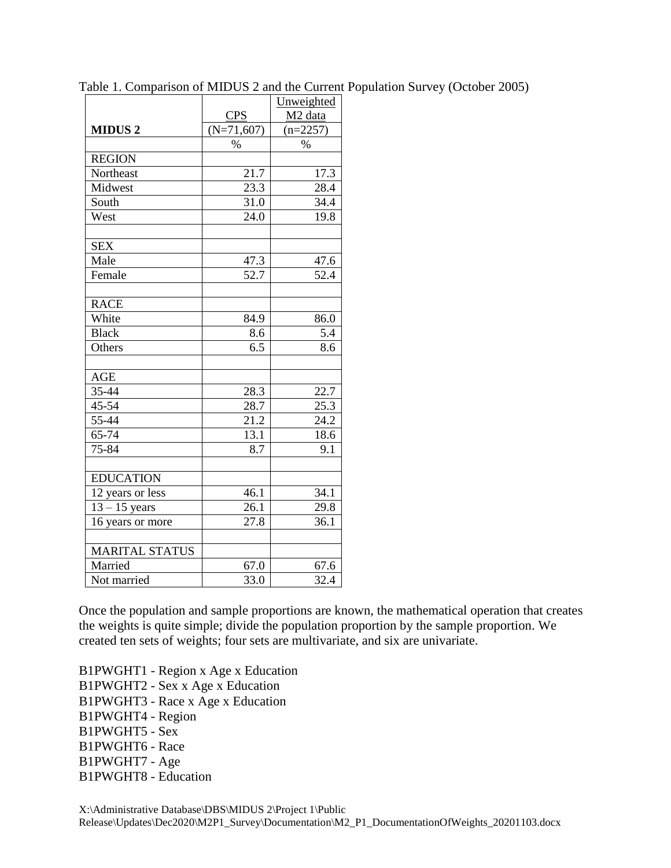|                       |              | Unweighted          |
|-----------------------|--------------|---------------------|
|                       | <b>CPS</b>   | M <sub>2</sub> data |
| <b>MIDUS 2</b>        | $(N=71,607)$ | $(n=2257)$          |
|                       | $\%$         | $\%$                |
| <b>REGION</b>         |              |                     |
| Northeast             | 21.7         | 17.3                |
| Midwest               | 23.3         | 28.4                |
| South                 | 31.0         | 34.4                |
| West                  | 24.0         | 19.8                |
|                       |              |                     |
| <b>SEX</b>            |              |                     |
| Male                  | 47.3         | 47.6                |
| Female                | 52.7         | 52.4                |
|                       |              |                     |
| <b>RACE</b>           |              |                     |
| White                 | 84.9         | 86.0                |
| <b>Black</b>          | 8.6          | 5.4                 |
| Others                | 6.5          | 8.6                 |
|                       |              |                     |
| <b>AGE</b>            |              |                     |
| 35-44                 | 28.3         | 22.7                |
| 45-54                 | 28.7         | 25.3                |
| 55-44                 | 21.2         | 24.2                |
| 65-74                 | 13.1         | 18.6                |
| 75-84                 | 8.7          | 9.1                 |
|                       |              |                     |
| <b>EDUCATION</b>      |              |                     |
| 12 years or less      | 46.1         | 34.1                |
| $13 - 15$ years       | 26.1         | 29.8                |
| 16 years or more      | 27.8         | 36.1                |
|                       |              |                     |
| <b>MARITAL STATUS</b> |              |                     |
| Married               | 67.0         | 67.6                |
| Not married           | 33.0         | 32.4                |

Table 1. Comparison of MIDUS 2 and the Current Population Survey (October 2005)

Once the population and sample proportions are known, the mathematical operation that creates the weights is quite simple; divide the population proportion by the sample proportion. We created ten sets of weights; four sets are multivariate, and six are univariate.

B1PWGHT1 - Region x Age x Education B1PWGHT2 - Sex x Age x Education B1PWGHT3 - Race x Age x Education B1PWGHT4 - Region B1PWGHT5 - Sex B1PWGHT6 - Race B1PWGHT7 - Age B1PWGHT8 - Education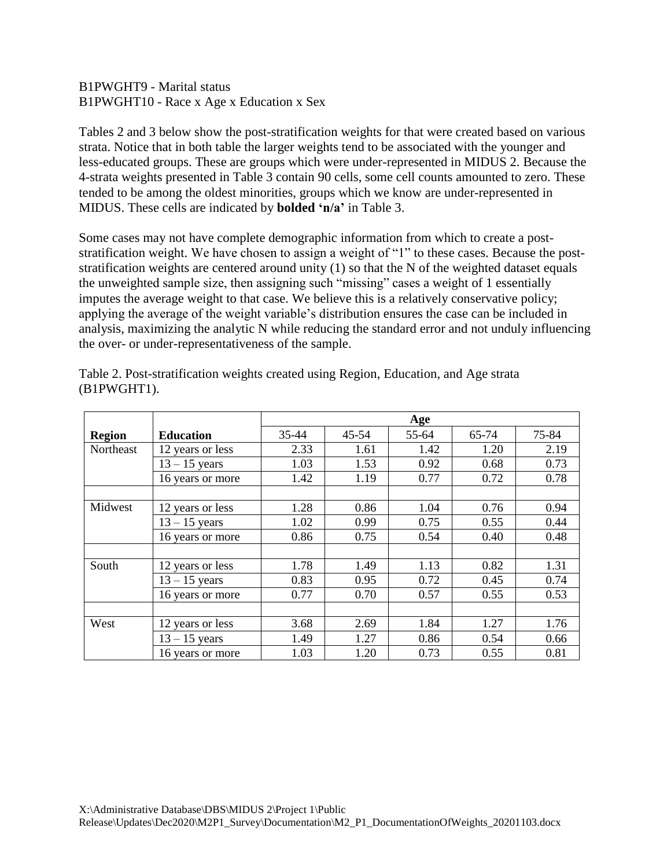## B1PWGHT9 - Marital status B1PWGHT10 - Race x Age x Education x Sex

Tables 2 and 3 below show the post-stratification weights for that were created based on various strata. Notice that in both table the larger weights tend to be associated with the younger and less-educated groups. These are groups which were under-represented in MIDUS 2. Because the 4-strata weights presented in Table 3 contain 90 cells, some cell counts amounted to zero. These tended to be among the oldest minorities, groups which we know are under-represented in MIDUS. These cells are indicated by **bolded 'n/a'** in Table 3.

Some cases may not have complete demographic information from which to create a poststratification weight. We have chosen to assign a weight of "1" to these cases. Because the poststratification weights are centered around unity (1) so that the N of the weighted dataset equals the unweighted sample size, then assigning such "missing" cases a weight of 1 essentially imputes the average weight to that case. We believe this is a relatively conservative policy; applying the average of the weight variable's distribution ensures the case can be included in analysis, maximizing the analytic N while reducing the standard error and not unduly influencing the over- or under-representativeness of the sample.

|               |                  | Age   |           |       |       |       |
|---------------|------------------|-------|-----------|-------|-------|-------|
| <b>Region</b> | <b>Education</b> | 35-44 | $45 - 54$ | 55-64 | 65-74 | 75-84 |
| Northeast     | 12 years or less | 2.33  | 1.61      | 1.42  | 1.20  | 2.19  |
|               | $13 - 15$ years  | 1.03  | 1.53      | 0.92  | 0.68  | 0.73  |
|               | 16 years or more | 1.42  | 1.19      | 0.77  | 0.72  | 0.78  |
|               |                  |       |           |       |       |       |
| Midwest       | 12 years or less | 1.28  | 0.86      | 1.04  | 0.76  | 0.94  |
|               | $13 - 15$ years  | 1.02  | 0.99      | 0.75  | 0.55  | 0.44  |
|               | 16 years or more | 0.86  | 0.75      | 0.54  | 0.40  | 0.48  |
|               |                  |       |           |       |       |       |
| South         | 12 years or less | 1.78  | 1.49      | 1.13  | 0.82  | 1.31  |
|               | $13 - 15$ years  | 0.83  | 0.95      | 0.72  | 0.45  | 0.74  |
|               | 16 years or more | 0.77  | 0.70      | 0.57  | 0.55  | 0.53  |
|               |                  |       |           |       |       |       |
| West          | 12 years or less | 3.68  | 2.69      | 1.84  | 1.27  | 1.76  |
|               | $13 - 15$ years  | 1.49  | 1.27      | 0.86  | 0.54  | 0.66  |
|               | 16 years or more | 1.03  | 1.20      | 0.73  | 0.55  | 0.81  |

Table 2. Post-stratification weights created using Region, Education, and Age strata (B1PWGHT1).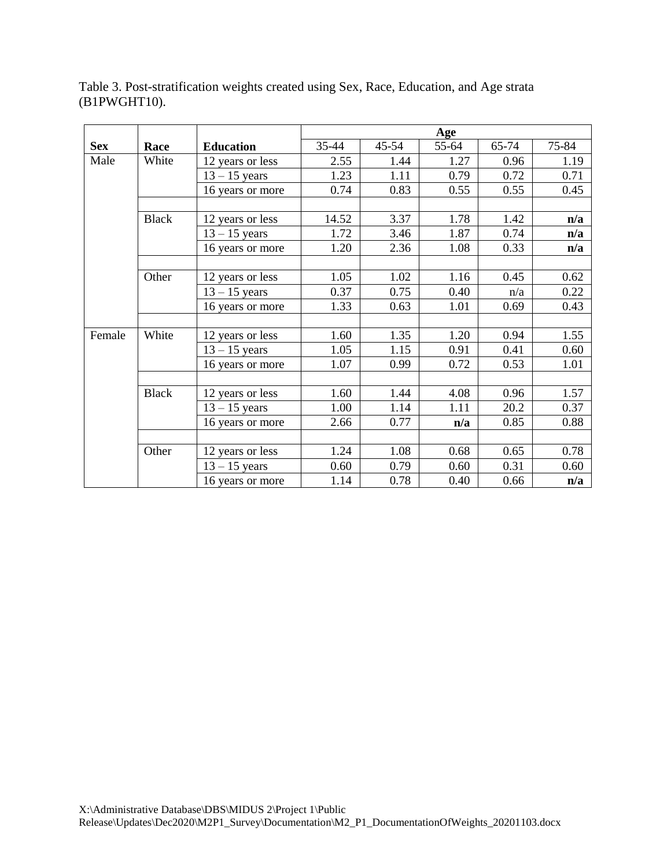Table 3. Post-stratification weights created using Sex, Race, Education, and Age strata (B1PWGHT10).

|            |              |                  | Age   |       |       |       |       |
|------------|--------------|------------------|-------|-------|-------|-------|-------|
| <b>Sex</b> | Race         | <b>Education</b> | 35-44 | 45-54 | 55-64 | 65-74 | 75-84 |
| Male       | White        | 12 years or less | 2.55  | 1.44  | 1.27  | 0.96  | 1.19  |
|            |              | $13 - 15$ years  | 1.23  | 1.11  | 0.79  | 0.72  | 0.71  |
|            |              | 16 years or more | 0.74  | 0.83  | 0.55  | 0.55  | 0.45  |
|            |              |                  |       |       |       |       |       |
|            | <b>Black</b> | 12 years or less | 14.52 | 3.37  | 1.78  | 1.42  | n/a   |
|            |              | $13 - 15$ years  | 1.72  | 3.46  | 1.87  | 0.74  | n/a   |
|            |              | 16 years or more | 1.20  | 2.36  | 1.08  | 0.33  | n/a   |
|            |              |                  |       |       |       |       |       |
|            | Other        | 12 years or less | 1.05  | 1.02  | 1.16  | 0.45  | 0.62  |
|            |              | $13 - 15$ years  | 0.37  | 0.75  | 0.40  | n/a   | 0.22  |
|            |              | 16 years or more | 1.33  | 0.63  | 1.01  | 0.69  | 0.43  |
|            |              |                  |       |       |       |       |       |
| Female     | White        | 12 years or less | 1.60  | 1.35  | 1.20  | 0.94  | 1.55  |
|            |              | $13 - 15$ years  | 1.05  | 1.15  | 0.91  | 0.41  | 0.60  |
|            |              | 16 years or more | 1.07  | 0.99  | 0.72  | 0.53  | 1.01  |
|            |              |                  |       |       |       |       |       |
|            | <b>Black</b> | 12 years or less | 1.60  | 1.44  | 4.08  | 0.96  | 1.57  |
|            |              | $13 - 15$ years  | 1.00  | 1.14  | 1.11  | 20.2  | 0.37  |
|            |              | 16 years or more | 2.66  | 0.77  | n/a   | 0.85  | 0.88  |
|            |              |                  |       |       |       |       |       |
|            | Other        | 12 years or less | 1.24  | 1.08  | 0.68  | 0.65  | 0.78  |
|            |              | $13 - 15$ years  | 0.60  | 0.79  | 0.60  | 0.31  | 0.60  |
|            |              | 16 years or more | 1.14  | 0.78  | 0.40  | 0.66  | n/a   |